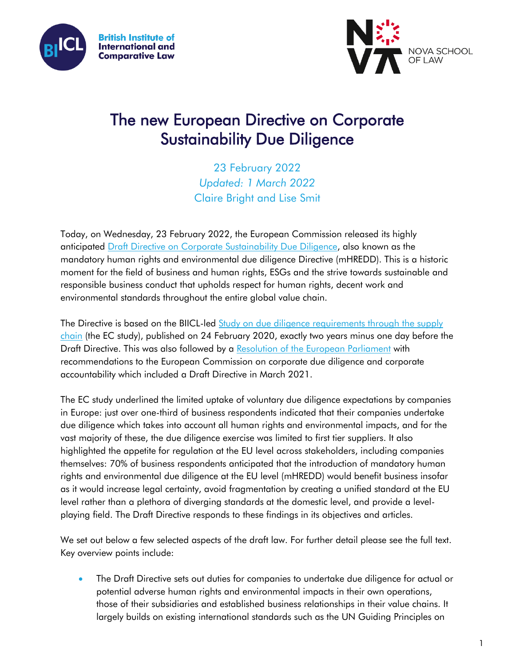



# The new European Directive on Corporate Sustainability Due Diligence

23 February 2022 *Updated: 1 March 2022* Claire Bright and Lise Smit

Today, on Wednesday, 23 February 2022, the European Commission released its highly anticipated [Draft Directive on Corporate Sustainability Due Diligence,](https://ec.europa.eu/info/publications/proposal-directive-corporate-sustainable-due-diligence-and-annex_en) also known as the mandatory human rights and environmental due diligence Directive (mHREDD). This is a historic moment for the field of business and human rights, ESGs and the strive towards sustainable and responsible business conduct that upholds respect for human rights, decent work and environmental standards throughout the entire global value chain.

The Directive is based on the BIICL-led Study on due diligence requirements through the supply [chain](https://www.biicl.org/publications/european-commission-study-on-due-diligence-in-supply-chains) (the EC study), published on 24 February 2020, exactly two years minus one day before the Draft Directive. This was also followed by a [Resolution of the European Parliament](https://www.europarl.europa.eu/doceo/document/TA-9-2021-0073_EN.html) with recommendations to the European Commission on corporate due diligence and corporate accountability which included a Draft Directive in March 2021.

The EC study underlined the limited uptake of voluntary due diligence expectations by companies in Europe: just over one-third of business respondents indicated that their companies undertake due diligence which takes into account all human rights and environmental impacts, and for the vast majority of these, the due diligence exercise was limited to first tier suppliers. It also highlighted the appetite for regulation at the EU level across stakeholders, including companies themselves: 70% of business respondents anticipated that the introduction of mandatory human rights and environmental due diligence at the EU level (mHREDD) would benefit business insofar as it would increase legal certainty, avoid fragmentation by creating a unified standard at the EU level rather than a plethora of diverging standards at the domestic level, and provide a levelplaying field. The Draft Directive responds to these findings in its objectives and articles.

We set out below a few selected aspects of the draft law. For further detail please see the full text. Key overview points include:

 The Draft Directive sets out duties for companies to undertake due diligence for actual or potential adverse human rights and environmental impacts in their own operations, those of their subsidiaries and established business relationships in their value chains. It largely builds on existing international standards such as the UN Guiding Principles on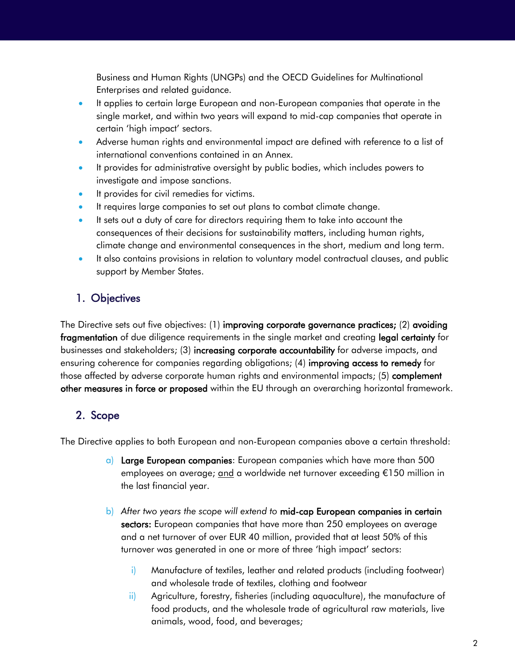Business and Human Rights (UNGPs) and the OECD Guidelines for Multinational Enterprises and related guidance.

- It applies to certain large European and non-European companies that operate in the single market, and within two years will expand to mid-cap companies that operate in certain 'high impact' sectors.
- Adverse human rights and environmental impact are defined with reference to a list of international conventions contained in an Annex.
- It provides for administrative oversight by public bodies, which includes powers to investigate and impose sanctions.
- It provides for civil remedies for victims.
- It requires large companies to set out plans to combat climate change.
- It sets out a duty of care for directors requiring them to take into account the consequences of their decisions for sustainability matters, including human rights, climate change and environmental consequences in the short, medium and long term.
- It also contains provisions in relation to voluntary model contractual clauses, and public support by Member States.

# 1. Objectives

The Directive sets out five objectives: (1) improving corporate governance practices; (2) avoiding fragmentation of due diligence requirements in the single market and creating legal certainty for businesses and stakeholders; (3) increasing corporate accountability for adverse impacts, and ensuring coherence for companies regarding obligations; (4) improving access to remedy for those affected by adverse corporate human rights and environmental impacts; (5) complement other measures in force or proposed within the EU through an overarching horizontal framework.

# 2. Scope

The Directive applies to both European and non-European companies above a certain threshold:

- a) Large European companies: European companies which have more than 500 employees on average; and a worldwide net turnover exceeding €150 million in the last financial year.
- b) *After two years the scope will extend to* mid-cap European companies in certain sectors: European companies that have more than 250 employees on average and a net turnover of over EUR 40 million, provided that at least 50% of this turnover was generated in one or more of three 'high impact' sectors:
	- i) Manufacture of textiles, leather and related products (including footwear) and wholesale trade of textiles, clothing and footwear
	- ii) Agriculture, forestry, fisheries (including aquaculture), the manufacture of food products, and the wholesale trade of agricultural raw materials, live animals, wood, food, and beverages;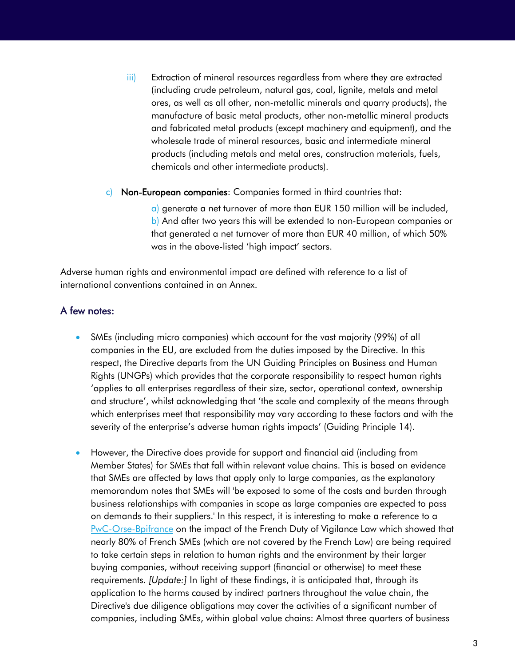- iii) Extraction of mineral resources regardless from where they are extracted (including crude petroleum, natural gas, coal, lignite, metals and metal ores, as well as all other, non-metallic minerals and quarry products), the manufacture of basic metal products, other non-metallic mineral products and fabricated metal products (except machinery and equipment), and the wholesale trade of mineral resources, basic and intermediate mineral products (including metals and metal ores, construction materials, fuels, chemicals and other intermediate products).
- c) Non-European companies: Companies formed in third countries that:

a) generate a net turnover of more than EUR 150 million will be included, b) And after two years this will be extended to non-European companies or that generated a net turnover of more than EUR 40 million, of which 50% was in the above-listed 'high impact' sectors.

Adverse human rights and environmental impact are defined with reference to a list of international conventions contained in an Annex.

#### A few notes:

- SMEs (including micro companies) which account for the vast majority (99%) of all companies in the EU, are excluded from the duties imposed by the Directive. In this respect, the Directive departs from the UN Guiding Principles on Business and Human Rights (UNGPs) which provides that the corporate responsibility to respect human rights 'applies to all enterprises regardless of their size, sector, operational context, ownership and structure', whilst acknowledging that 'the scale and complexity of the means through which enterprises meet that responsibility may vary according to these factors and with the severity of the enterprise's adverse human rights impacts' (Guiding Principle 14).
- However, the Directive does provide for support and financial aid (including from Member States) for SMEs that fall within relevant value chains. This is based on evidence that SMEs are affected by laws that apply only to large companies, as the explanatory memorandum notes that SMEs will 'be exposed to some of the costs and burden through business relationships with companies in scope as large companies are expected to pass on demands to their suppliers.' In this respect, it is interesting to make a reference to a [PwC-Orse-Bpifrance](https://www.novethic.fr/fileadmin/user_upload/tx_ausynovethicarticles/BH/AD_Enqu%C3%AAte_BPI_France_ORSE_2019_Web.pdf)) on the impact of the French Duty of Vigilance Law which showed that nearly 80% of French SMEs (which are not covered by the French Law) are being required to take certain steps in relation to human rights and the environment by their larger buying companies, without receiving support (financial or otherwise) to meet these requirements. *[Update:]* In light of these findings, it is anticipated that, through its application to the harms caused by indirect partners throughout the value chain, the Directive's due diligence obligations may cover the activities of a significant number of companies, including SMEs, within global value chains: Almost three quarters of business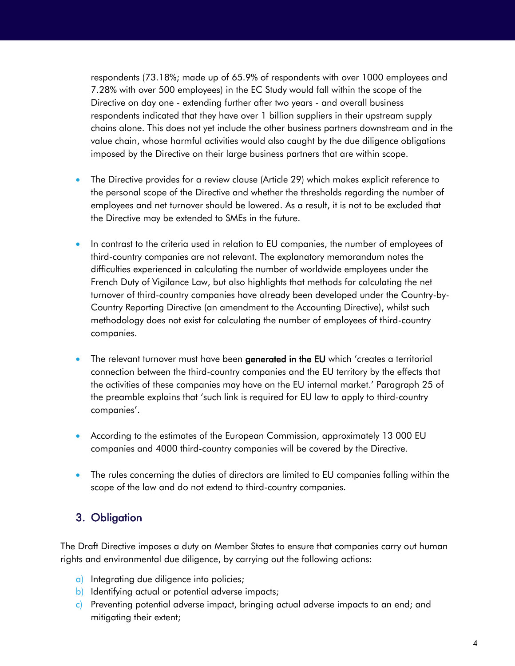respondents (73.18%; made up of 65.9% of respondents with over 1000 employees and 7.28% with over 500 employees) in the EC Study would fall within the scope of the Directive on day one - extending further after two years - and overall business respondents indicated that they have over 1 billion suppliers in their upstream supply chains alone. This does not yet include the other business partners downstream and in the value chain, whose harmful activities would also caught by the due diligence obligations imposed by the Directive on their large business partners that are within scope.

- The Directive provides for a review clause (Article 29) which makes explicit reference to the personal scope of the Directive and whether the thresholds regarding the number of employees and net turnover should be lowered. As a result, it is not to be excluded that the Directive may be extended to SMEs in the future.
- In contrast to the criteria used in relation to EU companies, the number of employees of third-country companies are not relevant. The explanatory memorandum notes the difficulties experienced in calculating the number of worldwide employees under the French Duty of Vigilance Law, but also highlights that methods for calculating the net turnover of third-country companies have already been developed under the Country-by-Country Reporting Directive (an amendment to the Accounting Directive), whilst such methodology does not exist for calculating the number of employees of third-country companies.
- The relevant turnover must have been generated in the EU which 'creates a territorial connection between the third-country companies and the EU territory by the effects that the activities of these companies may have on the EU internal market.' Paragraph 25 of the preamble explains that 'such link is required for EU law to apply to third-country companies'.
- According to the estimates of the European Commission, approximately 13 000 EU companies and 4000 third-country companies will be covered by the Directive.
- The rules concerning the duties of directors are limited to EU companies falling within the scope of the law and do not extend to third-country companies.

## 3. Obligation

The Draft Directive imposes a duty on Member States to ensure that companies carry out human rights and environmental due diligence, by carrying out the following actions:

- a) Integrating due diligence into policies;
- b) Identifying actual or potential adverse impacts;
- c) Preventing potential adverse impact, bringing actual adverse impacts to an end; and mitigating their extent;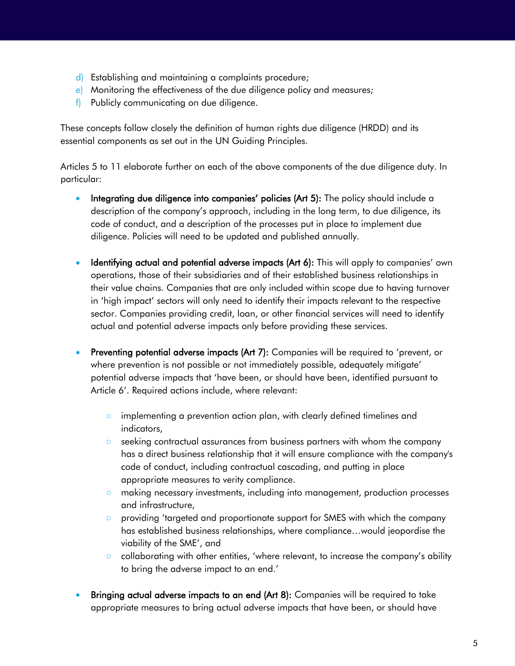- d) Establishing and maintaining a complaints procedure;
- e) Monitoring the effectiveness of the due diligence policy and measures;
- f) Publicly communicating on due diligence.

These concepts follow closely the definition of human rights due diligence (HRDD) and its essential components as set out in the UN Guiding Principles.

Articles 5 to 11 elaborate further on each of the above components of the due diligence duty. In particular:

- Integrating due diligence into companies' policies (Art 5): The policy should include a description of the company's approach, including in the long term, to due diligence, its code of conduct, and a description of the processes put in place to implement due diligence. Policies will need to be updated and published annually.
- Identifying actual and potential adverse impacts (Art 6): This will apply to companies' own operations, those of their subsidiaries and of their established business relationships in their value chains. Companies that are only included within scope due to having turnover in 'high impact' sectors will only need to identify their impacts relevant to the respective sector. Companies providing credit, loan, or other financial services will need to identify actual and potential adverse impacts only before providing these services.
- Preventing potential adverse impacts (Art 7): Companies will be required to 'prevent, or where prevention is not possible or not immediately possible, adequately mitigate' potential adverse impacts that 'have been, or should have been, identified pursuant to Article 6'. Required actions include, where relevant:
	- o implementing a prevention action plan, with clearly defined timelines and indicators,
	- seeking contractual assurances from business partners with whom the company has a direct business relationship that it will ensure compliance with the company's code of conduct, including contractual cascading, and putting in place appropriate measures to verity compliance.
	- making necessary investments, including into management, production processes and infrastructure,
	- providing 'targeted and proportionate support for SMES with which the company has established business relationships, where compliance…would jeopordise the viability of the SME', and
	- collaborating with other entities, 'where relevant, to increase the company's ability to bring the adverse impact to an end.'
- Bringing actual adverse impacts to an end (Art 8): Companies will be required to take appropriate measures to bring actual adverse impacts that have been, or should have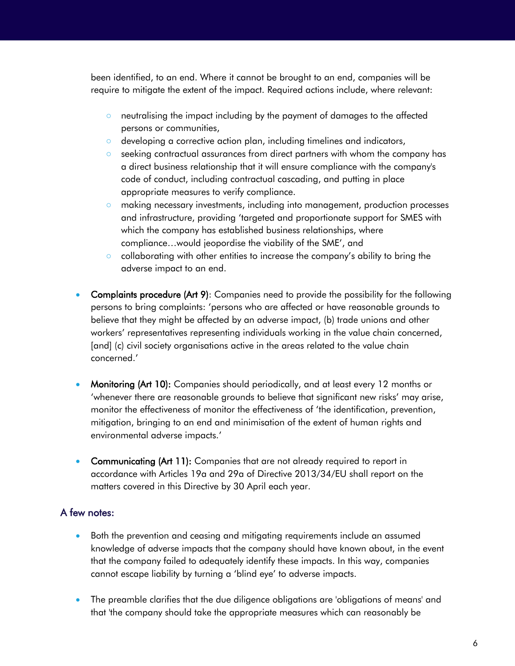been identified, to an end. Where it cannot be brought to an end, companies will be require to mitigate the extent of the impact. Required actions include, where relevant:

- neutralising the impact including by the payment of damages to the affected persons or communities,
- developing a corrective action plan, including timelines and indicators,
- seeking contractual assurances from direct partners with whom the company has a direct business relationship that it will ensure compliance with the company's code of conduct, including contractual cascading, and putting in place appropriate measures to verify compliance.
- making necessary investments, including into management, production processes and infrastructure, providing 'targeted and proportionate support for SMES with which the company has established business relationships, where compliance…would jeopordise the viability of the SME', and
- collaborating with other entities to increase the company's ability to bring the adverse impact to an end.
- Complaints procedure (Art 9): Companies need to provide the possibility for the following persons to bring complaints: 'persons who are affected or have reasonable grounds to believe that they might be affected by an adverse impact, (b) trade unions and other workers' representatives representing individuals working in the value chain concerned, [and] (c) civil society organisations active in the areas related to the value chain concerned.'
- Monitoring (Art 10): Companies should periodically, and at least every 12 months or 'whenever there are reasonable grounds to believe that significant new risks' may arise, monitor the effectiveness of monitor the effectiveness of 'the identification, prevention, mitigation, bringing to an end and minimisation of the extent of human rights and environmental adverse impacts.'
- Communicating (Art 11): Companies that are not already required to report in accordance with Articles 19a and 29a of Directive 2013/34/EU shall report on the matters covered in this Directive by 30 April each year.

#### A few notes:

- Both the prevention and ceasing and mitigating requirements include an assumed knowledge of adverse impacts that the company should have known about, in the event that the company failed to adequately identify these impacts. In this way, companies cannot escape liability by turning a 'blind eye' to adverse impacts.
- The preamble clarifies that the due diligence obligations are 'obligations of means' and that 'the company should take the appropriate measures which can reasonably be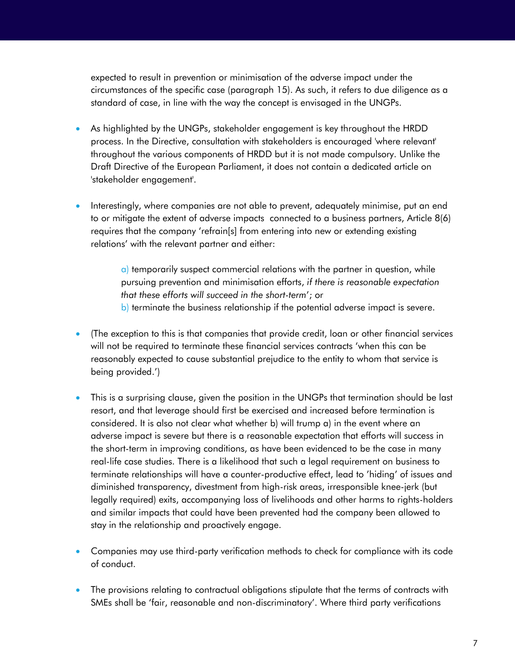expected to result in prevention or minimisation of the adverse impact under the circumstances of the specific case (paragraph 15). As such, it refers to due diligence as a standard of case, in line with the way the concept is envisaged in the UNGPs.

- As highlighted by the UNGPs, stakeholder engagement is key throughout the HRDD process. In the Directive, consultation with stakeholders is encouraged 'where relevant' throughout the various components of HRDD but it is not made compulsory. Unlike the Draft Directive of the European Parliament, it does not contain a dedicated article on 'stakeholder engagement'.
- Interestingly, where companies are not able to prevent, adequately minimise, put an end to or mitigate the extent of adverse impacts connected to a business partners, Article 8(6) requires that the company 'refrain[s] from entering into new or extending existing relations' with the relevant partner and either:

a) temporarily suspect commercial relations with the partner in question, while pursuing prevention and minimisation efforts, *if there is reasonable expectation that these efforts will succeed in the short-term*'; or b) terminate the business relationship if the potential adverse impact is severe.

- (The exception to this is that companies that provide credit, loan or other financial services will not be required to terminate these financial services contracts 'when this can be reasonably expected to cause substantial prejudice to the entity to whom that service is being provided.')
- This is a surprising clause, given the position in the UNGPs that termination should be last resort, and that leverage should first be exercised and increased before termination is considered. It is also not clear what whether b) will trump a) in the event where an adverse impact is severe but there is a reasonable expectation that efforts will success in the short-term in improving conditions, as have been evidenced to be the case in many real-life case studies. There is a likelihood that such a legal requirement on business to terminate relationships will have a counter-productive effect, lead to 'hiding' of issues and diminished transparency, divestment from high-risk areas, irresponsible knee-jerk (but legally required) exits, accompanying loss of livelihoods and other harms to rights-holders and similar impacts that could have been prevented had the company been allowed to stay in the relationship and proactively engage.
- Companies may use third-party verification methods to check for compliance with its code of conduct.
- The provisions relating to contractual obligations stipulate that the terms of contracts with SMEs shall be 'fair, reasonable and non-discriminatory'. Where third party verifications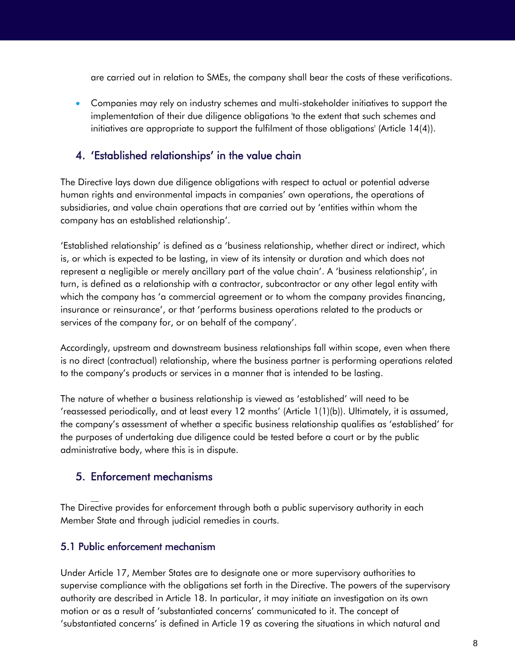are carried out in relation to SMEs, the company shall bear the costs of these verifications.

 Companies may rely on industry schemes and multi-stakeholder initiatives to support the implementation of their due diligence obligations 'to the extent that such schemes and initiatives are appropriate to support the fulfilment of those obligations' (Article 14(4)).

### 4. 'Established relationships' in the value chain

The Directive lays down due diligence obligations with respect to actual or potential adverse human rights and environmental impacts in companies' own operations, the operations of subsidiaries, and value chain operations that are carried out by 'entities within whom the company has an established relationship'.

'Established relationship' is defined as a 'business relationship, whether direct or indirect, which is, or which is expected to be lasting, in view of its intensity or duration and which does not represent a negligible or merely ancillary part of the value chain'. A 'business relationship', in turn, is defined as a relationship with a contractor, subcontractor or any other legal entity with which the company has 'a commercial agreement or to whom the company provides financing, insurance or reinsurance', or that 'performs business operations related to the products or services of the company for, or on behalf of the company'.

Accordingly, upstream and downstream business relationships fall within scope, even when there is no direct (contractual) relationship, where the business partner is performing operations related to the company's products or services in a manner that is intended to be lasting.

The nature of whether a business relationship is viewed as 'established' will need to be 'reassessed periodically, and at least every 12 months' (Article 1(1)(b)). Ultimately, it is assumed, the company's assessment of whether a specific business relationship qualifies as 'established' for the purposes of undertaking due diligence could be tested before a court or by the public administrative body, where this is in dispute.

#### 5. Enforcement mechanisms

6. forcement mec hasms The Directive provides for enforcement through both a public supervisory authority in each Member State and through judicial remedies in courts.

#### 5.1 Public enforcement mechanism

Under Article 17, Member States are to designate one or more supervisory authorities to supervise compliance with the obligations set forth in the Directive. The powers of the supervisory authority are described in Article 18. In particular, it may initiate an investigation on its own motion or as a result of 'substantiated concerns' communicated to it. The concept of 'substantiated concerns' is defined in Article 19 as covering the situations in which natural and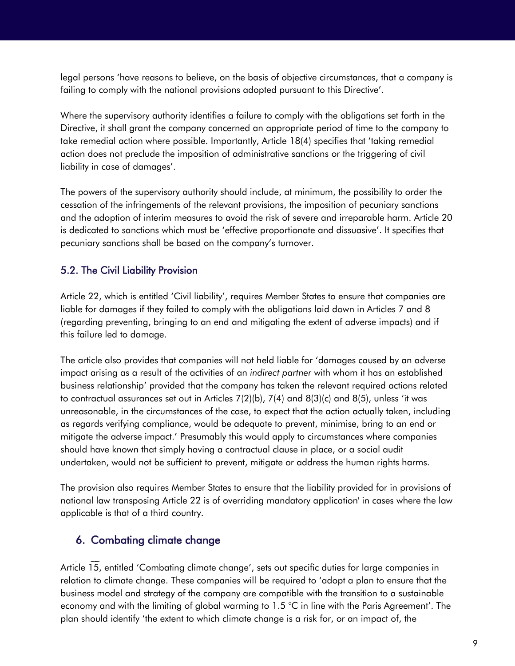legal persons 'have reasons to believe, on the basis of objective circumstances, that a company is failing to comply with the national provisions adopted pursuant to this Directive'.

Where the supervisory authority identifies a failure to comply with the obligations set forth in the Directive, it shall grant the company concerned an appropriate period of time to the company to take remedial action where possible. Importantly, Article 18(4) specifies that 'taking remedial action does not preclude the imposition of administrative sanctions or the triggering of civil liability in case of damages'.

The powers of the supervisory authority should include, at minimum, the possibility to order the cessation of the infringements of the relevant provisions, the imposition of pecuniary sanctions and the adoption of interim measures to avoid the risk of severe and irreparable harm. Article 20 is dedicated to sanctions which must be 'effective proportionate and dissuasive'. It specifies that pecuniary sanctions shall be based on the company's turnover.

#### 5.2. The Civil Liability Provision

Article 22, which is entitled 'Civil liability', requires Member States to ensure that companies are liable for damages if they failed to comply with the obligations laid down in Articles 7 and 8 (regarding preventing, bringing to an end and mitigating the extent of adverse impacts) and if this failure led to damage.

The article also provides that companies will not held liable for 'damages caused by an adverse impact arising as a result of the activities of an *indirect partner* with whom it has an established business relationship' provided that the company has taken the relevant required actions related to contractual assurances set out in Articles 7(2)(b), 7(4) and 8(3)(c) and 8(5), unless 'it was unreasonable, in the circumstances of the case, to expect that the action actually taken, including as regards verifying compliance, would be adequate to prevent, minimise, bring to an end or mitigate the adverse impact.' Presumably this would apply to circumstances where companies should have known that simply having a contractual clause in place, or a social audit undertaken, would not be sufficient to prevent, mitigate or address the human rights harms.

The provision also requires Member States to ensure that the liability provided for in provisions of national law transposing Article 22 is of overriding mandatory application' in cases where the law applicable is that of a third country.

## 6. Combating climate change

7. forcement mec hanism s Article 15, entitled 'Combating climate change', sets out specific duties for large companies in relation to climate change. These companies will be required to 'adopt a plan to ensure that the business model and strategy of the company are compatible with the transition to a sustainable economy and with the limiting of global warming to 1.5 °C in line with the Paris Agreement'. The plan should identify 'the extent to which climate change is a risk for, or an impact of, the